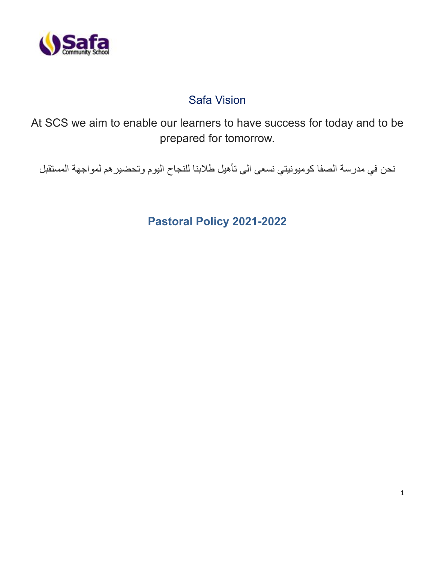

# Safa Vision

At SCS we aim to enable our learners to have success for today and to be prepared for tomorrow.

نحن في مدرسة الصفا كوميونيتي نسعى الى تأهيل طالبنا للنجاح اليوم وتحضيرهم لمواجهة المستقبل

**Pastoral Policy 2021-2022**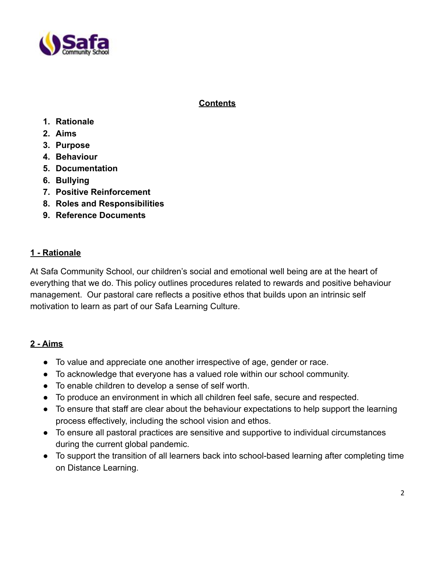

# **Contents**

- **1. Rationale**
- **2. Aims**
- **3. Purpose**
- **4. Behaviour**
- **5. Documentation**
- **6. Bullying**
- **7. Positive Reinforcement**
- **8. Roles and Responsibilities**
- **9. Reference Documents**

### **1 - Rationale**

At Safa Community School, our children's social and emotional well being are at the heart of everything that we do. This policy outlines procedures related to rewards and positive behaviour management. Our pastoral care reflects a positive ethos that builds upon an intrinsic self motivation to learn as part of our Safa Learning Culture.

# **2 - Aims**

- To value and appreciate one another irrespective of age, gender or race.
- To acknowledge that everyone has a valued role within our school community.
- To enable children to develop a sense of self worth.
- To produce an environment in which all children feel safe, secure and respected.
- To ensure that staff are clear about the behaviour expectations to help support the learning process effectively, including the school vision and ethos.
- To ensure all pastoral practices are sensitive and supportive to individual circumstances during the current global pandemic.
- To support the transition of all learners back into school-based learning after completing time on Distance Learning.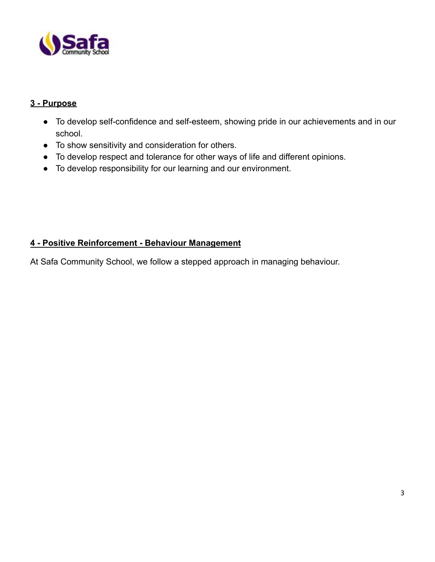

# **3 - Purpose**

- To develop self-confidence and self-esteem, showing pride in our achievements and in our school.
- To show sensitivity and consideration for others.
- To develop respect and tolerance for other ways of life and different opinions.
- To develop responsibility for our learning and our environment.

# **4 - Positive Reinforcement - Behaviour Management**

At Safa Community School, we follow a stepped approach in managing behaviour.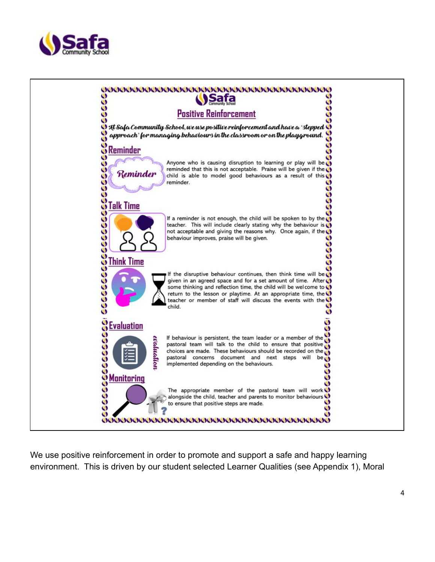



We use positive reinforcement in order to promote and support a safe and happy learning environment. This is driven by our student selected Learner Qualities (see Appendix 1), Moral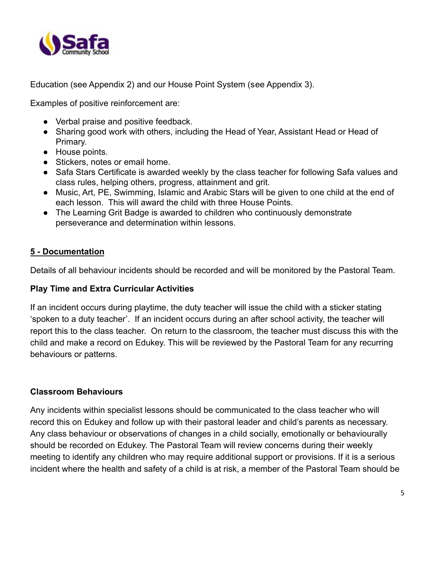

Education (see Appendix 2) and our House Point System (see Appendix 3).

Examples of positive reinforcement are:

- Verbal praise and positive feedback.
- Sharing good work with others, including the Head of Year, Assistant Head or Head of Primary.
- House points.
- Stickers, notes or email home.
- Safa Stars Certificate is awarded weekly by the class teacher for following Safa values and class rules, helping others, progress, attainment and grit.
- Music, Art, PE, Swimming, Islamic and Arabic Stars will be given to one child at the end of each lesson. This will award the child with three House Points.
- The Learning Grit Badge is awarded to children who continuously demonstrate perseverance and determination within lessons.

### **5 - Documentation**

Details of all behaviour incidents should be recorded and will be monitored by the Pastoral Team.

#### **Play Time and Extra Curricular Activities**

If an incident occurs during playtime, the duty teacher will issue the child with a sticker stating 'spoken to a duty teacher'. If an incident occurs during an after school activity, the teacher will report this to the class teacher. On return to the classroom, the teacher must discuss this with the child and make a record on Edukey. This will be reviewed by the Pastoral Team for any recurring behaviours or patterns.

#### **Classroom Behaviours**

Any incidents within specialist lessons should be communicated to the class teacher who will record this on Edukey and follow up with their pastoral leader and child's parents as necessary. Any class behaviour or observations of changes in a child socially, emotionally or behaviourally should be recorded on Edukey. The Pastoral Team will review concerns during their weekly meeting to identify any children who may require additional support or provisions. If it is a serious incident where the health and safety of a child is at risk, a member of the Pastoral Team should be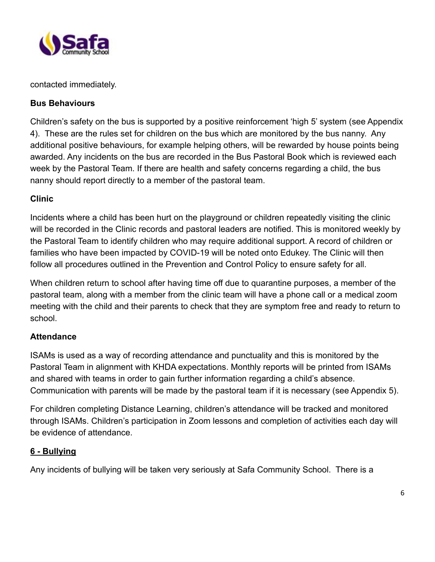

contacted immediately.

# **Bus Behaviours**

Children's safety on the bus is supported by a positive reinforcement 'high 5' system (see Appendix 4). These are the rules set for children on the bus which are monitored by the bus nanny. Any additional positive behaviours, for example helping others, will be rewarded by house points being awarded. Any incidents on the bus are recorded in the Bus Pastoral Book which is reviewed each week by the Pastoral Team. If there are health and safety concerns regarding a child, the bus nanny should report directly to a member of the pastoral team.

# **Clinic**

Incidents where a child has been hurt on the playground or children repeatedly visiting the clinic will be recorded in the Clinic records and pastoral leaders are notified. This is monitored weekly by the Pastoral Team to identify children who may require additional support. A record of children or families who have been impacted by COVID-19 will be noted onto Edukey. The Clinic will then follow all procedures outlined in the Prevention and Control Policy to ensure safety for all.

When children return to school after having time off due to quarantine purposes, a member of the pastoral team, along with a member from the clinic team will have a phone call or a medical zoom meeting with the child and their parents to check that they are symptom free and ready to return to school.

# **Attendance**

ISAMs is used as a way of recording attendance and punctuality and this is monitored by the Pastoral Team in alignment with KHDA expectations. Monthly reports will be printed from ISAMs and shared with teams in order to gain further information regarding a child's absence. Communication with parents will be made by the pastoral team if it is necessary (see Appendix 5).

For children completing Distance Learning, children's attendance will be tracked and monitored through ISAMs. Children's participation in Zoom lessons and completion of activities each day will be evidence of attendance.

# **6 - Bullying**

Any incidents of bullying will be taken very seriously at Safa Community School. There is a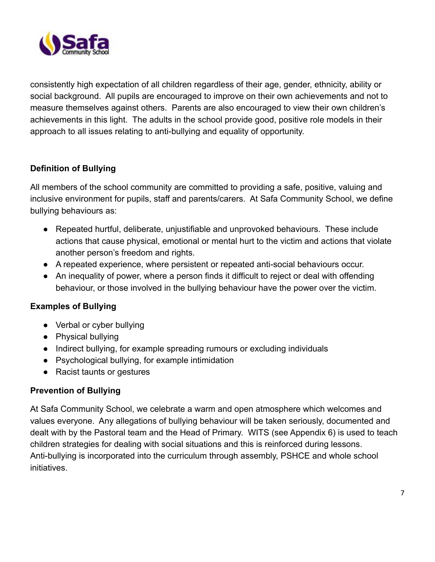

consistently high expectation of all children regardless of their age, gender, ethnicity, ability or social background. All pupils are encouraged to improve on their own achievements and not to measure themselves against others. Parents are also encouraged to view their own children's achievements in this light. The adults in the school provide good, positive role models in their approach to all issues relating to anti-bullying and equality of opportunity.

# **Definition of Bullying**

All members of the school community are committed to providing a safe, positive, valuing and inclusive environment for pupils, staff and parents/carers. At Safa Community School, we define bullying behaviours as:

- Repeated hurtful, deliberate, unjustifiable and unprovoked behaviours. These include actions that cause physical, emotional or mental hurt to the victim and actions that violate another person's freedom and rights.
- A repeated experience, where persistent or repeated anti-social behaviours occur.
- An inequality of power, where a person finds it difficult to reject or deal with offending behaviour, or those involved in the bullying behaviour have the power over the victim.

# **Examples of Bullying**

- Verbal or cyber bullying
- Physical bullying
- Indirect bullying, for example spreading rumours or excluding individuals
- Psychological bullying, for example intimidation
- Racist taunts or gestures

# **Prevention of Bullying**

At Safa Community School, we celebrate a warm and open atmosphere which welcomes and values everyone. Any allegations of bullying behaviour will be taken seriously, documented and dealt with by the Pastoral team and the Head of Primary. WITS (see Appendix 6) is used to teach children strategies for dealing with social situations and this is reinforced during lessons. Anti-bullying is incorporated into the curriculum through assembly, PSHCE and whole school initiatives.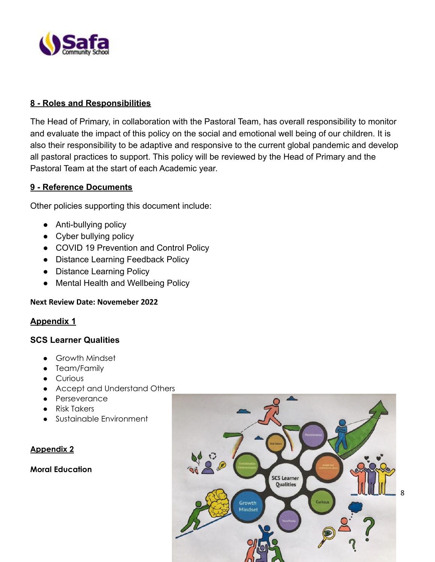

# **8 - Roles and Responsibilities**

The Head of Primary, in collaboration with the Pastoral Team, has overall responsibility to monitor and evaluate the impact of this policy on the social and emotional well being of our children. It is also their responsibility to be adaptive and responsive to the current global pandemic and develop all pastoral practices to support. This policy will be reviewed by the Head of Primary and the Pastoral Team at the start of each Academic year.

# **9 - Reference Documents**

Other policies supporting this document include:

- Anti-bullying policy
- Cyber bullying policy
- COVID 19 Prevention and Control Policy
- Distance Learning Feedback Policy
- Distance Learning Policy
- Mental Health and Wellbeing Policy

#### **Next Review Date: Novemeber 2022**

# **Appendix 1**

#### **SCS Learner Qualities**

- Growth Mindset
- Team/Family
- Curious
- Accept and Understand Others
- Perseverance
- Risk Takers
- Sustainable Environment

# **Appendix 2**

#### **Moral Education**

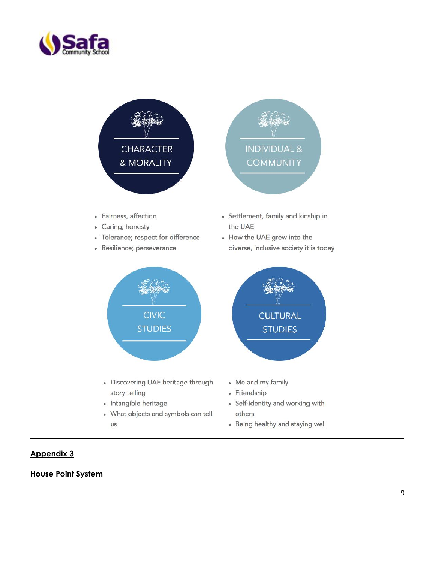



#### **A p p e n d i x 3**

**House Point System**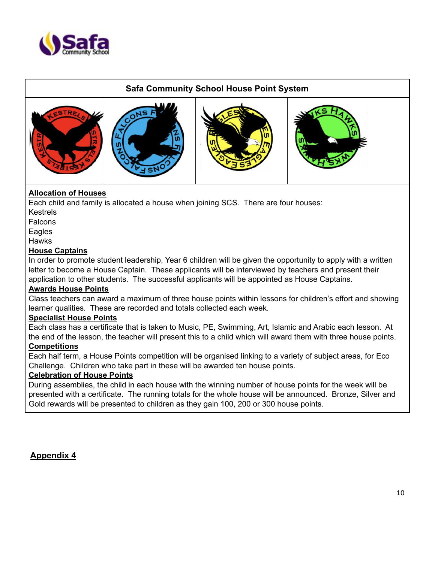

# **Safa Community School House Point System**









# **Allocation of Houses**

Each child and family is allocated a house when joining SCS. There are four houses:

Kestrels

**Falcons** 

Eagles

**Hawks** 

#### **House Captains**

In order to promote student leadership, Year 6 children will be given the opportunity to apply with a written letter to become a House Captain. These applicants will be interviewed by teachers and present their application to other students. The successful applicants will be appointed as House Captains.

#### **Awards House Points**

Class teachers can award a maximum of three house points within lessons for children's effort and showing learner qualities. These are recorded and totals collected each week.

#### **Specialist House Points**

Each class has a certificate that is taken to Music, PE, Swimming, Art, Islamic and Arabic each lesson. At the end of the lesson, the teacher will present this to a child which will award them with three house points. **Competitions**

Each half term, a House Points competition will be organised linking to a variety of subject areas, for Eco Challenge. Children who take part in these will be awarded ten house points.

#### **Celebration of House Points**

During assemblies, the child in each house with the winning number of house points for the week will be presented with a certificate. The running totals for the whole house will be announced. Bronze, Silver and Gold rewards will be presented to children as they gain 100, 200 or 300 house points.

**Appendix 4**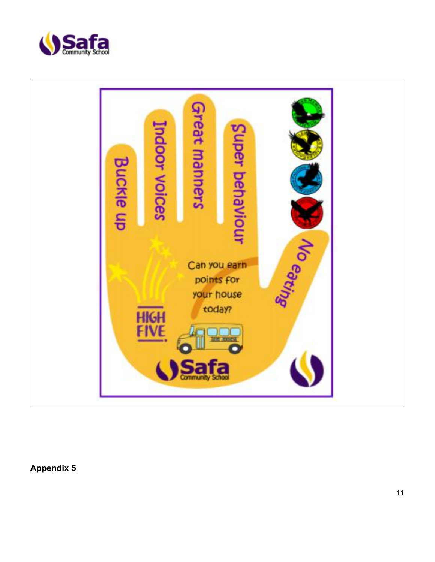



**Appendix 5**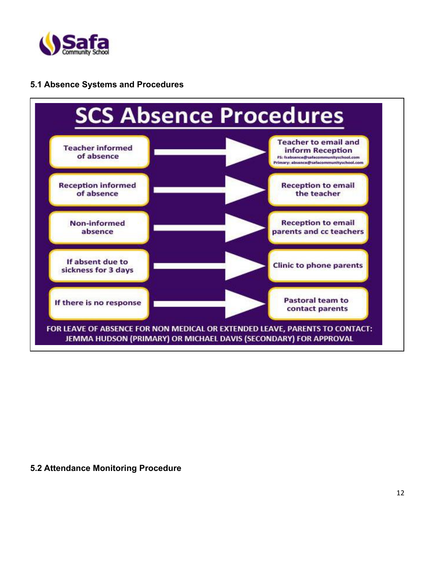

## **5.1 Absence Systems and Procedures**



#### **5.2 Attendance Monitoring Procedure**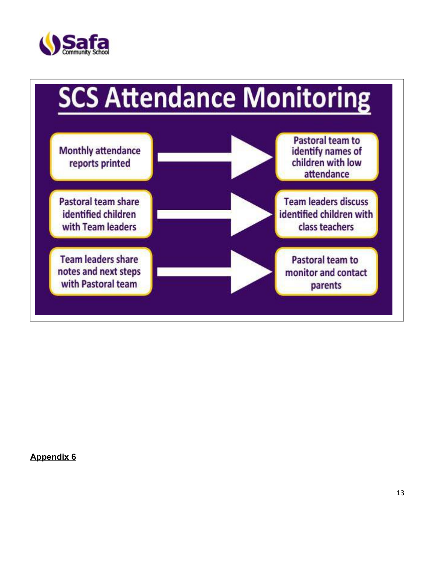



**Appendix 6**